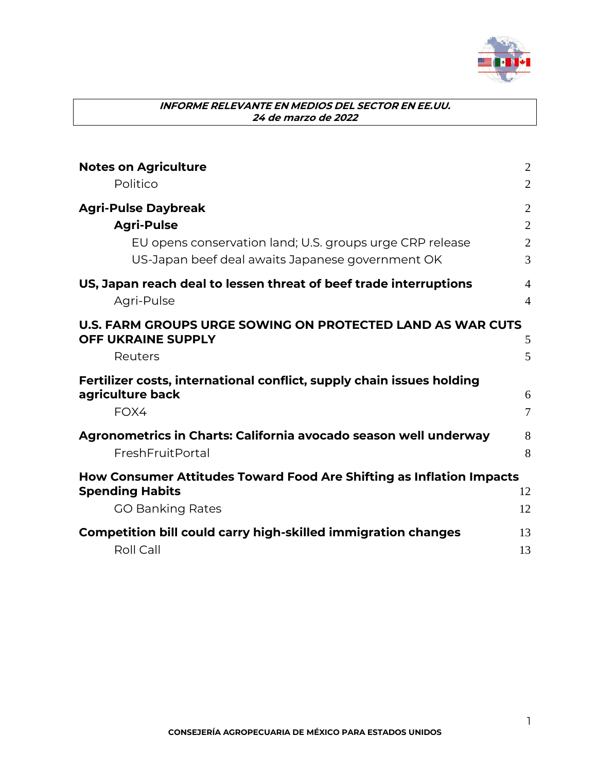

| <b>Notes on Agriculture</b>                                                                                  | $\overline{2}$      |
|--------------------------------------------------------------------------------------------------------------|---------------------|
| Politico                                                                                                     | $\overline{2}$      |
| <b>Agri-Pulse Daybreak</b>                                                                                   | $\overline{2}$      |
| <b>Agri-Pulse</b>                                                                                            | $\overline{2}$      |
| EU opens conservation land; U.S. groups urge CRP release<br>US-Japan beef deal awaits Japanese government OK | $\overline{2}$<br>3 |
| US, Japan reach deal to lessen threat of beef trade interruptions                                            | $\overline{4}$      |
| Agri-Pulse                                                                                                   | $\overline{4}$      |
| <b>U.S. FARM GROUPS URGE SOWING ON PROTECTED LAND AS WAR CUTS</b><br><b>OFF UKRAINE SUPPLY</b>               | 5                   |
| Reuters                                                                                                      | 5                   |
| Fertilizer costs, international conflict, supply chain issues holding                                        |                     |
| agriculture back                                                                                             | 6                   |
| FOX4                                                                                                         | 7                   |
| Agronometrics in Charts: California avocado season well underway                                             | 8                   |
| FreshFruitPortal                                                                                             | 8                   |
| How Consumer Attitudes Toward Food Are Shifting as Inflation Impacts                                         |                     |
| <b>Spending Habits</b>                                                                                       | 12                  |
| <b>GO Banking Rates</b>                                                                                      | 12                  |
| <b>Competition bill could carry high-skilled immigration changes</b>                                         | 13                  |
| Roll Call                                                                                                    | 13                  |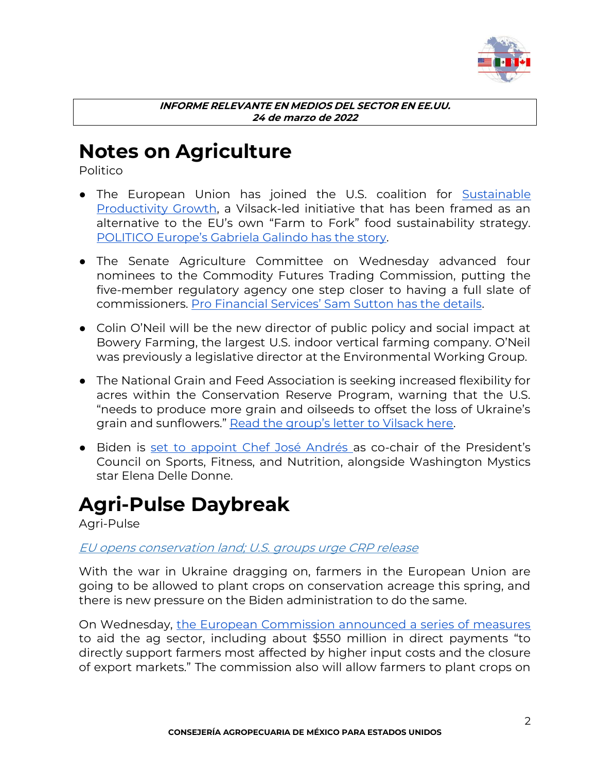

### <span id="page-1-0"></span>**Notes on Agriculture**

<span id="page-1-1"></span>Politico

- The European Union has joined the U.S. coalition for **Sustainable** [Productivity Growth,](https://www.usda.gov/media/press-releases/2021/10/26/usda-announces-initial-supporters-sustainable-productivity-growth) a Vilsack-led initiative that has been framed as an alternative to the EU's own "Farm to Fork" food sustainability strategy. [POLITICO Europe's Gabriela Galindo has the story](https://subscriber.politicopro.com/article/2022/03/eu-joins-u-s-led-coalition-for-food-productivity-growth-00019676).
- The Senate Agriculture Committee on Wednesday advanced four nominees to the Commodity Futures Trading Commission, putting the five-member regulatory agency one step closer to having a full slate of commissioners. [Pro Financial Services' Sam Sutton has the details](https://subscriber.politicopro.com/article/2022/03/senate-ag-panel-advances-four-cftc-nominees-00019826).
- Colin O'Neil will be the new director of public policy and social impact at Bowery Farming, the largest U.S. indoor vertical farming company. O'Neil was previously a legislative director at the Environmental Working Group.
- The National Grain and Feed Association is seeking increased flexibility for acres within the Conservation Reserve Program, warning that the U.S. "needs to produce more grain and oilseeds to offset the loss of Ukraine's grain and sunflowers." [Read the group's letter to Vilsack here](https://www.dropbox.com/s/yfyv04ilkom11zd/USDA%20Letter%20to%20Secretary%20Vilsack%20on%20Tools%20to%20Address%20Global%20Commodity%20Supply%20Challenges%203.23.22_.pdf?dl=0).
- Biden is [set to appoint Chef José Andrés a](https://www.whitehouse.gov/briefing-room/statements-releases/2022/03/23/president-biden-announces-key-appointments/)s co-chair of the President's Council on Sports, Fitness, and Nutrition, alongside Washington Mystics star Elena Delle Donne.

### <span id="page-1-2"></span>**Agri-Pulse Daybreak**

<span id="page-1-3"></span>Agri-Pulse

### <span id="page-1-4"></span>EU opens conservation land; U.S. groups urge CRP release

With the war in Ukraine dragging on, farmers in the European Union are going to be allowed to plant crops on conservation acreage this spring, and there is new pressure on the Biden administration to do the same.

On Wednesday, [the European Commission announced a series of measures](https://agri-pulse.us12.list-manage.com/track/click?u=f5a0aaec713d79bbd5f7ec87c&id=676f6c841a&e=0387767c24) to aid the ag sector, including about \$550 million in direct payments "to directly support farmers most affected by higher input costs and the closure of export markets." The commission also will allow farmers to plant crops on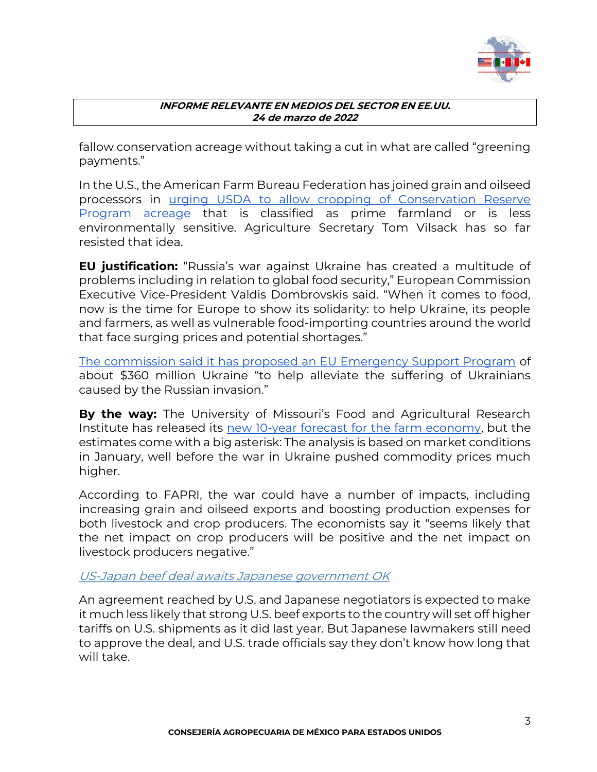

fallow conservation acreage without taking a cut in what are called "greening payments."

In the U.S., the American Farm Bureau Federation has joined grain and oilseed processors in [urging USDA to allow cropping of Conservation Reserve](https://agri-pulse.us12.list-manage.com/track/click?u=f5a0aaec713d79bbd5f7ec87c&id=af35376c34&e=0387767c24)  [Program acreage](https://agri-pulse.us12.list-manage.com/track/click?u=f5a0aaec713d79bbd5f7ec87c&id=af35376c34&e=0387767c24) that is classified as prime farmland or is less environmentally sensitive. Agriculture Secretary Tom Vilsack has so far resisted that idea.

**EU justification:** "Russia's war against Ukraine has created a multitude of problems including in relation to global food security," European Commission Executive Vice-President Valdis Dombrovskis said. "When it comes to food, now is the time for Europe to show its solidarity: to help Ukraine, its people and farmers, as well as vulnerable food-importing countries around the world that face surging prices and potential shortages."

[The commission said it has proposed an EU Emergency Support Program](https://agri-pulse.us12.list-manage.com/track/click?u=f5a0aaec713d79bbd5f7ec87c&id=13e391cc3c&e=0387767c24) of about \$360 million Ukraine "to help alleviate the suffering of Ukrainians caused by the Russian invasion."

**By the way:** The University of Missouri's Food and Agricultural Research Institute has released its [new 10-year forecast for the farm economy,](https://agri-pulse.us12.list-manage.com/track/click?u=f5a0aaec713d79bbd5f7ec87c&id=0c6dca91b9&e=0387767c24) but the estimates come with a big asterisk: The analysis is based on market conditions in January, well before the war in Ukraine pushed commodity prices much higher.

According to FAPRI, the war could have a number of impacts, including increasing grain and oilseed exports and boosting production expenses for both livestock and crop producers. The economists say it "seems likely that the net impact on crop producers will be positive and the net impact on livestock producers negative."

### <span id="page-2-0"></span>US-Japan beef deal awaits Japanese government OK

An agreement reached by U.S. and Japanese negotiators is expected to make it much less likely that strong U.S. beef exports to the country will set off higher tariffs on U.S. shipments as it did last year. But Japanese lawmakers still need to approve the deal, and U.S. trade officials say they don't know how long that will take.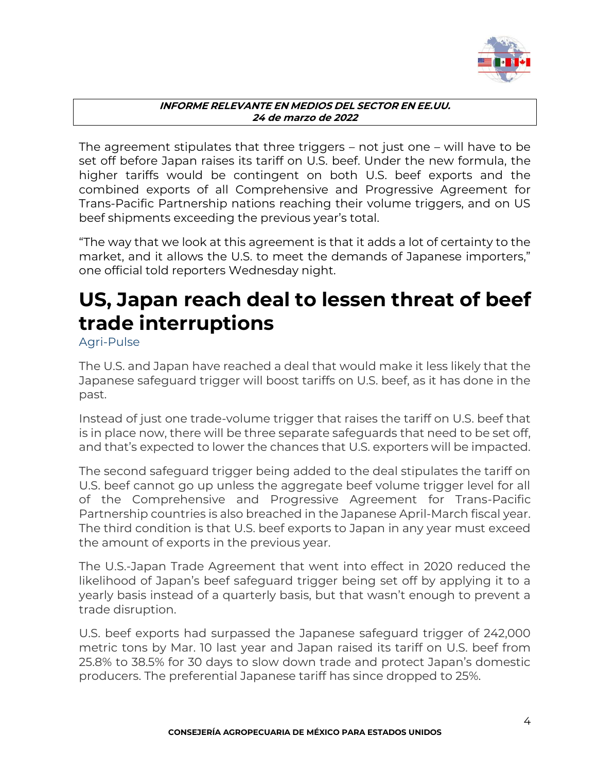

The agreement stipulates that three triggers – not just one – will have to be set off before Japan raises its tariff on U.S. beef. Under the new formula, the higher tariffs would be contingent on both U.S. beef exports and the combined exports of all Comprehensive and Progressive Agreement for Trans-Pacific Partnership nations reaching their volume triggers, and on US beef shipments exceeding the previous year's total.

"The way that we look at this agreement is that it adds a lot of certainty to the market, and it allows the U.S. to meet the demands of Japanese importers," one official told reporters Wednesday night.

# <span id="page-3-0"></span>**US, Japan reach deal to lessen threat of beef trade interruptions**

<span id="page-3-1"></span>Agri-Pulse

The U.S. and Japan have reached a deal that would make it less likely that the Japanese safeguard trigger will boost tariffs on U.S. beef, as it has done in the past.

Instead of just one trade-volume trigger that raises the tariff on U.S. beef that is in place now, there will be three separate safeguards that need to be set off, and that's expected to lower the chances that U.S. exporters will be impacted.

The second safeguard trigger being added to the deal stipulates the tariff on U.S. beef cannot go up unless the aggregate beef volume trigger level for all of the Comprehensive and Progressive Agreement for Trans-Pacific Partnership countries is also breached in the Japanese April-March fiscal year. The third condition is that U.S. beef exports to Japan in any year must exceed the amount of exports in the previous year.

The U.S.-Japan Trade Agreement that went into effect in 2020 reduced the likelihood of Japan's beef safeguard trigger being set off by applying it to a yearly basis instead of a quarterly basis, but that wasn't enough to prevent a trade disruption.

U.S. beef exports had surpassed the Japanese safeguard trigger of 242,000 metric tons by Mar. 10 last year and Japan raised its tariff on U.S. beef from 25.8% to 38.5% for 30 days to slow down trade and protect Japan's domestic producers. The preferential Japanese tariff has since dropped to 25%.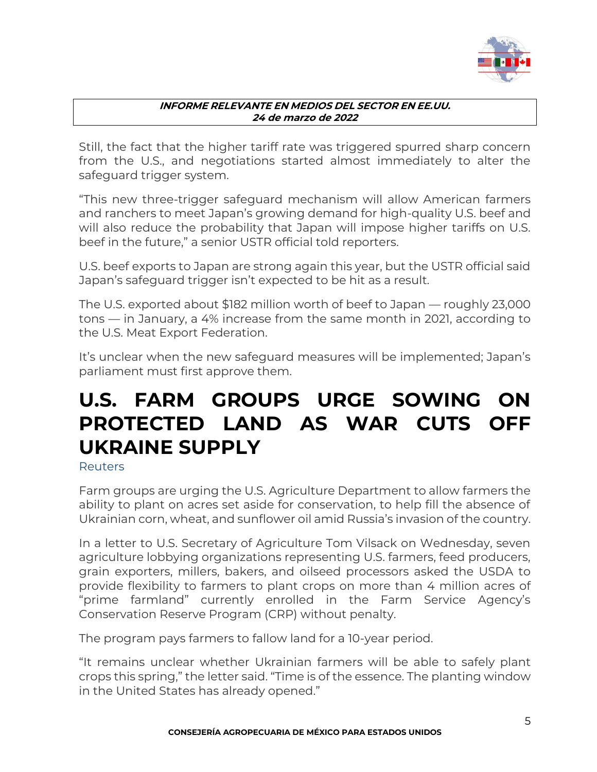

Still, the fact that the higher tariff rate was triggered spurred sharp concern from the U.S., and negotiations started almost immediately to alter the safeguard trigger system[.](https://www.agri-pulse.com/articles/9352-usda-announces-finalization-of-deal-to-lift-chinese-ban-on-us-beef)

"This new three-trigger safeguard mechanism will allow American farmers and ranchers to meet Japan's growing demand for high-quality U.S. beef and will also reduce the probability that Japan will impose higher tariffs on U.S. beef in the future," a senior USTR official told reporters.

U.S. beef exports to Japan are strong again this year, but the USTR official said Japan's safeguard trigger isn't expected to be hit as a result.

The U.S. exported about \$182 million worth of beef to Japan — roughly 23,000 tons — in January, a 4% increase from the same month in 2021, according to the U.S. Meat Export Federation.

It's unclear when the new safeguard measures will be implemented; Japan's parliament must first approve them.

## <span id="page-4-0"></span>**U.S. FARM GROUPS URGE SOWING ON PROTECTED LAND AS WAR CUTS OFF UKRAINE SUPPLY**

<span id="page-4-1"></span>Reuters

Farm groups are urging the U.S. Agriculture Department to allow farmers the ability to plant on acres set aside for conservation, to help fill the absence of Ukrainian corn, wheat, and sunflower oil amid Russia's invasion of the country.

In a letter to U.S. Secretary of Agriculture Tom Vilsack on Wednesday, seven agriculture lobbying organizations representing U.S. farmers, feed producers, grain exporters, millers, bakers, and oilseed processors asked the USDA to provide flexibility to farmers to plant crops on more than 4 million acres of "prime farmland" currently enrolled in the Farm Service Agency's Conservation Reserve Program (CRP) without penalty.

The program pays farmers to fallow land for a 10-year period.

"It remains unclear whether Ukrainian farmers will be able to safely plant crops this spring," the letter said. "Time is of the essence. The planting window in the United States has already opened."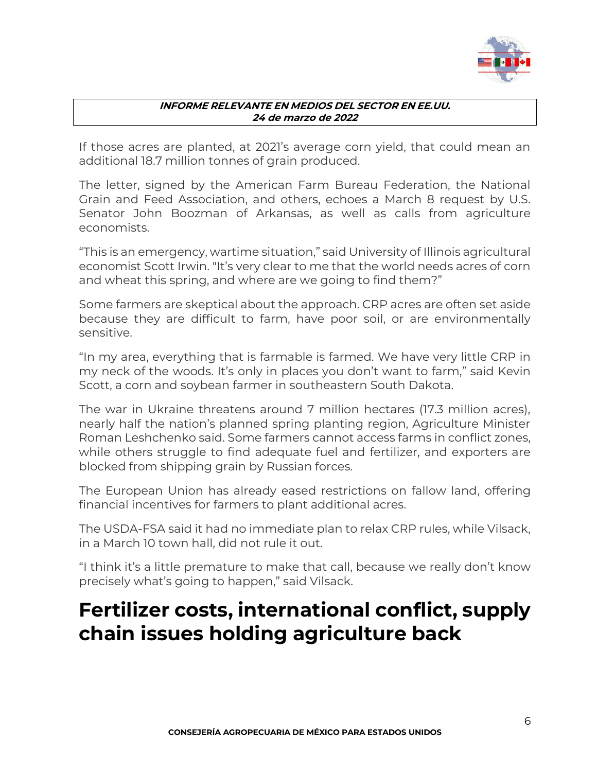

If those acres are planted, at 2021's average corn yield, that could mean an additional 18.7 million tonnes of grain produced.

The letter, signed by the American Farm Bureau Federation, the National Grain and Feed Association, and others, echoes a March 8 request by U.S. Senator John Boozman of Arkansas, as well as calls from agriculture economists.

"This is an emergency, wartime situation," said University of Illinois agricultural economist Scott Irwin. "It's very clear to me that the world needs acres of corn and wheat this spring, and where are we going to find them?"

Some farmers are skeptical about the approach. CRP acres are often set aside because they are difficult to farm, have poor soil, or are environmentally sensitive.

"In my area, everything that is farmable is farmed. We have very little CRP in my neck of the woods. It's only in places you don't want to farm," said Kevin Scott, a corn and soybean farmer in southeastern South Dakota.

The war in Ukraine threatens around 7 million hectares (17.3 million acres), nearly half the nation's planned spring planting region, Agriculture Minister Roman Leshchenko said. Some farmers cannot access farms in conflict zones, while others struggle to find adequate fuel and fertilizer, and exporters are blocked from shipping grain by Russian forces.

The European Union has already eased restrictions on fallow land, offering financial incentives for farmers to plant additional acres.

The USDA-FSA said it had no immediate plan to relax CRP rules, while Vilsack, in a March 10 town hall, did not rule it out.

"I think it's a little premature to make that call, because we really don't know precisely what's going to happen," said Vilsack.

### <span id="page-5-0"></span>**Fertilizer costs, international conflict, supply chain issues holding agriculture back**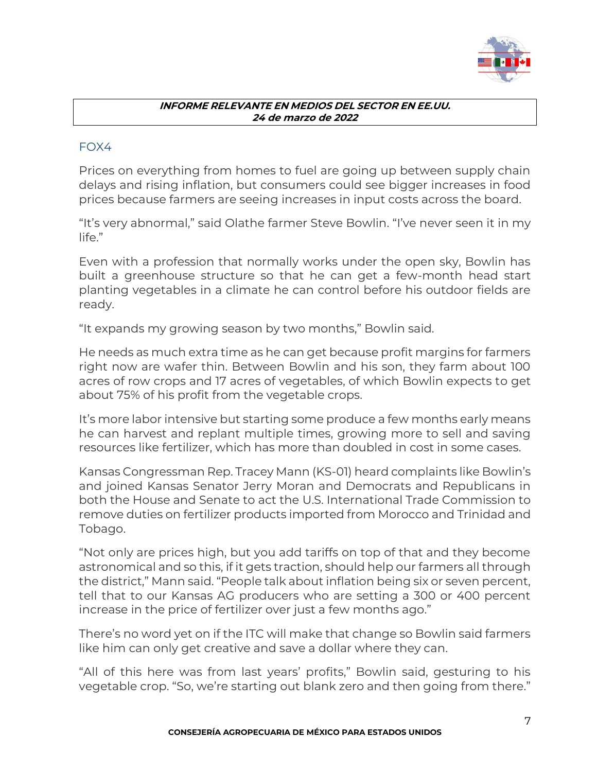

### <span id="page-6-0"></span>FOX4

Prices on everything from homes to fuel are going up between supply chain delays and rising inflation, but consumers could see bigger increases in food prices because farmers are seeing increases in input costs across the board.

"It's very abnormal," said [Olathe farmer Steve Bowlin](https://www.bowlinfarms.net/). "I've never seen it in my life."

Even with a profession that normally works under the open sky, Bowlin has built a greenhouse structure so that he can get a few-month head start planting vegetables in a climate he can control before his outdoor fields are ready.

"It expands my growing season by two months," Bowlin said.

He needs as much extra time as he can get because profit margins for farmers right now are wafer thin. Between Bowlin and his son, they farm about 100 acres of row crops and 17 acres of vegetables, of which Bowlin expects to get about 75% of his profit from the vegetable crops.

It's more labor intensive but starting some produce a few months early means he can harvest and replant multiple times, growing more to sell and saving resources like fertilizer, which has more than doubled in cost in some cases.

Kansas [Congressman Rep. Tracey Mann](https://mann.house.gov/) (KS-01) heard complaints like Bowlin's and joined Kansas Senator Jerry Moran and Democrats and Republicans in both the House and Senate to act the U.S. International Trade Commission to remove duties on [fertilizer products imported from Morocco](https://mann.house.gov/sites/evo-subsites/mann.house.gov/files/evo-media-document/ITC_DOC_USDA_USTR_FERTILIZER_31722.pdf) and Trinidad and Tobago.

"Not only are prices high, but you add tariffs on top of that and they become astronomical and so this, if it gets traction, should help our farmers all through the district," Mann said. "People talk about inflation being six or seven percent, tell that to our Kansas AG producers who are setting a 300 or 400 percent increase in the price of fertilizer over just a few months ago.["](https://fox4kc.com/news/gas-prices-soar-to-record-high-why-no-end-in-sight/?ipid=promo-link-block2)

There's no word yet on if the ITC will make that change so Bowlin said farmers like him can only get creative and save a dollar where they can.

"All of this here was from last years' profits," Bowlin said, gesturing to his vegetable crop. "So, we're starting out blank zero and then going from there."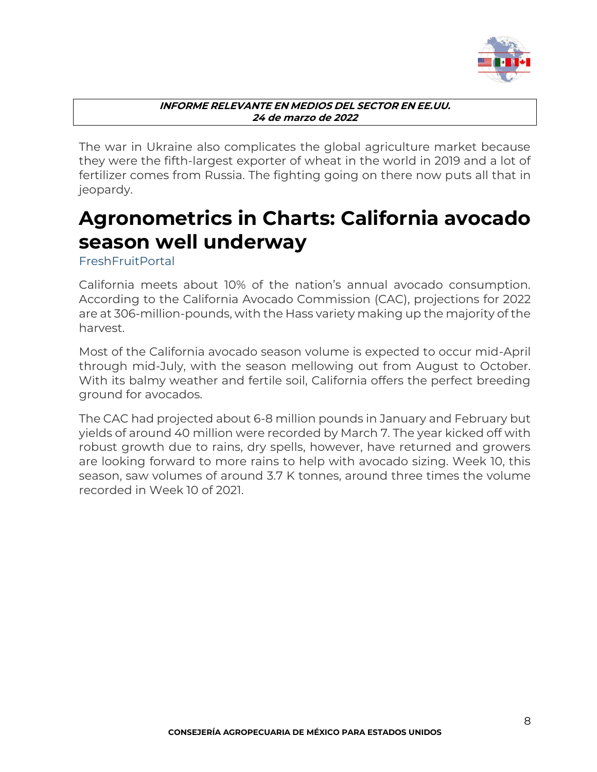

The war in Ukraine also complicates the global agriculture market because they were the fifth-largest exporter of wheat in the world in 2019 and a lot of fertilizer comes from Russia. The fighting going on there now puts all that in jeopardy.

## <span id="page-7-0"></span>**Agronometrics in Charts: California avocado season well underway**

<span id="page-7-1"></span>**FreshFruitPortal** 

California meets about 10% of the nation's annual avocado consumption. According to the [California Avocado Commission \(CAC\),](https://www.californiaavocadogrowers.com/) projections for 2022 are at 306-million-pounds, with the Hass variety making up the majority of the harvest.

Most of the California avocado season volume is expected to occur mid-April through mid-July, with the season mellowing out from August to October. With its balmy weather and fertile soil, California offers the perfect breeding ground for avocados.

The CAC had projected about 6-8 million pounds in January and February but yields of around 40 million were recorded by March 7. The year kicked off with robust growth due to rains, dry spells, however, have returned and growers are looking forward to more rains to help with avocado sizing. Week 10, this season, saw volumes of around 3.7 K tonnes, around three times the volume recorded in Week 10 of 2021.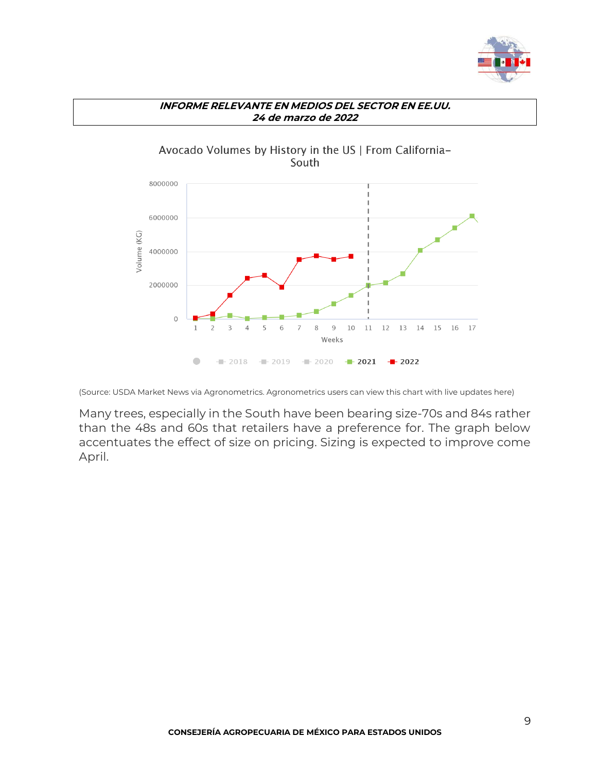



(Source: USDA Market News via [Agronometrics.](https://www.agronometrics.com/) Agronometrics users can view this chart with live update[s here\)](https://www.agronometrics.com/system/usda_mv/by_history/?datasource=usda_mv&commodity=19&level=history&measure=volume_sum&year=2022&viewing=11&period=WEEKLY&units=KG&interval=26&origin=148&history=true)

Many trees, especially in the South have been bearing size-70s and 84s rather than the 48s and 60s that retailers have a preference for. The graph below accentuates the effect of size on pricing. Sizing is expected to improve come April.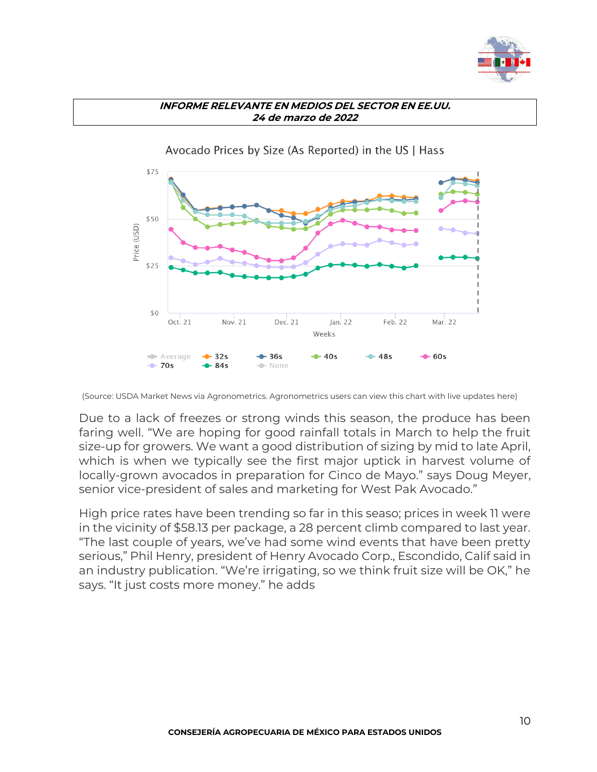



Avocado Prices by Size (As Reported) in the US | Hass

(Source: USDA Market News via [Agronometrics.](https://www.agronometrics.com/) Agronometrics users can view this chart with live updates [here\)](https://www.agronometrics.com/system/usda_sp/by_size/?datasource=usda_sp&commodity=19&variety=26&level=size&measure=per_package_price&year=2022&viewing=11&period=WEEKLY&units=KG&interval=26&history=)

Due to a lack of freezes or strong winds this season, the produce has been faring well. "We are hoping for good rainfall totals in March to help the fruit size-up for growers. We want a good distribution of sizing by mid to late April, which is when we typically see the first major uptick in harvest volume of locally-grown avocados in preparation for Cinco de Mayo." [says Doug Meyer,](https://www.freshfruitportal.com/news/2022/03/18/california-avocados-saw-record-u-s-market-share-in-february-amid-mexican-supply-hiccup/) senior vice-president of sales and marketing for West Pak Avocado."

High price rates have been trending so far in this seaso; prices in week 11 were in the vicinity of \$58.13 per package, a 28 percent climb compared to last year. "The last couple of years, we've had some wind events that have been pretty serious," Phil Henry, president of [Henry Avocado Corp.](https://www.producemarketguide.com/company/108861/henry-avocado-corp-hq), Escondido, Calif said in an industry publication. "We're irrigating, so we think fruit size will be OK," he says. "It just costs more money." he adds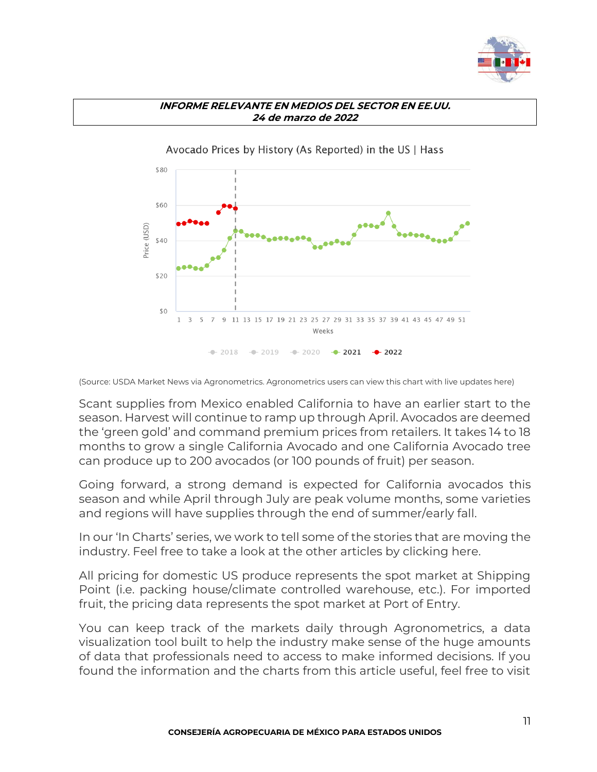



(Source: USDA Market News via [Agronometrics.](https://www.agronometrics.com/) Agronometrics users can view this chart with live update[s here\)](https://www.agronometrics.com/system/usda_sp/by_history/?datasource=usda_sp&commodity=19&variety=26&level=history&measure=per_package_price&year=2022&viewing=11&period=WEEKLY&units=KG&interval=26&history=true)

Scant supplies from Mexico enabled California to have an earlier start to the season. Harvest will continue to ramp up through April. Avocados are deemed the 'green gold' and command premium prices from retailers. It takes 14 to 18 months to grow a single California Avocado and one California Avocado tree can produce up to 200 avocados (or 100 pounds of fruit) per season.

Going forward, a strong demand is expected for California avocados this season and while April through July are peak volume months, some varieties and regions will have supplies through the end of summer/early fall.

In our 'In Charts' series, we work to tell some of the stories that are moving the industry. Feel free to take a look at the other articles by [clicking here.](https://www.agronometrics.com/stories/)

All pricing for domestic US produce represents the spot market at Shipping Point (i.e. packing house/climate controlled warehouse, etc.). For imported fruit, the pricing data represents the spot market at Port of Entry.

You can keep track of the markets daily through Agronometrics, a data visualization tool built to help the industry make sense of the huge amounts of data that professionals need to access to make informed decisions. If you found the information and the charts from this article useful, feel free to visit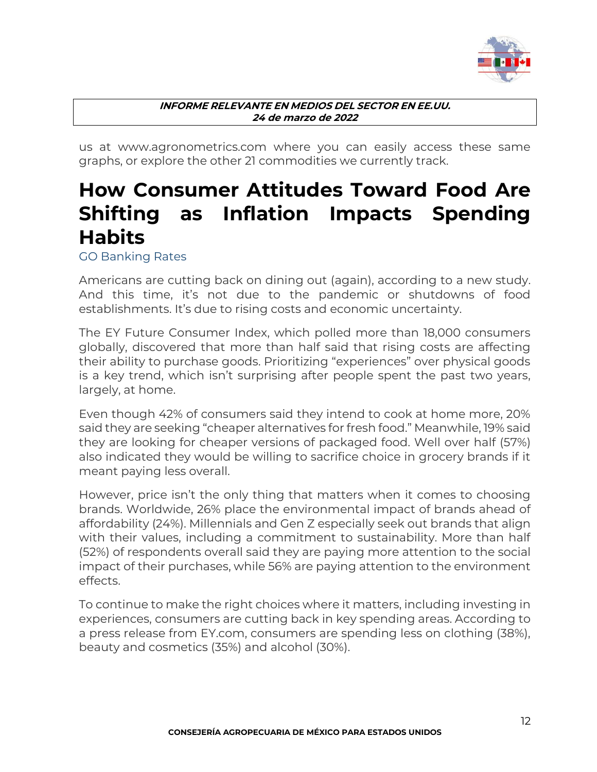

us at [www.agronometrics.com](http://www.agronometrics.com/) where you can easily access these same graphs, or explore the other 21 commodities we currently track.

## <span id="page-11-0"></span>**How Consumer Attitudes Toward Food Are Shifting as Inflation Impacts Spending Habits**

<span id="page-11-1"></span>GO Banking Rates

Americans are cutting back on dining out [\(again\)](https://www.gobankingrates.com/money/economy/retail-spending-raises-inflation-covid-outbreak-leads-to-less-dining-out/), according to a new study. And this time, it's not due to the pandemic or shutdowns of food establishments. It's due to rising costs and [economic uncertainty.](https://www.gobankingrates.com/category/money/economy/)

The EY Future Consumer Index, which polled more than 18,000 consumers globally, discovered that more than half said that rising costs are affecting their ability to purchase goods. Prioritizing "experiences" over physical goods is a key trend, which isn't surprising after people spent the past two years, largely, at home.

Even though 42% of consumers said they intend to cook at home more, 20% said they are seeking "cheaper alternatives for fresh food." Meanwhile, 19% said they are looking for cheaper versions of packaged food. Well over half (57%) also indicated they would be willing to sacrifice choice in grocery brands if it meant paying less overall.

However, price isn't the only thing that matters when it comes to choosing brands. Worldwide, 26% place the environmental impact of brands ahead of affordability (24%). Millennials and Gen Z especially seek out brands that align with their values, including a commitment to sustainability. More than half (52%) of respondents overall said they are paying more attention to the social impact of their purchases, while 56% are paying attention to the environment effects.

To continue to make the right choices where it matters, including investing in experiences, consumers are cutting back in key spending areas. According to a press release from EY.com, consumers are spending less on clothing (38%), beauty and cosmetics (35%) and [alcohol](https://www.gobankingrates.com/money/business/lack-of-millennial-interest-labor-shortage-among-factors-could-cripple-wine-industry/) (30%).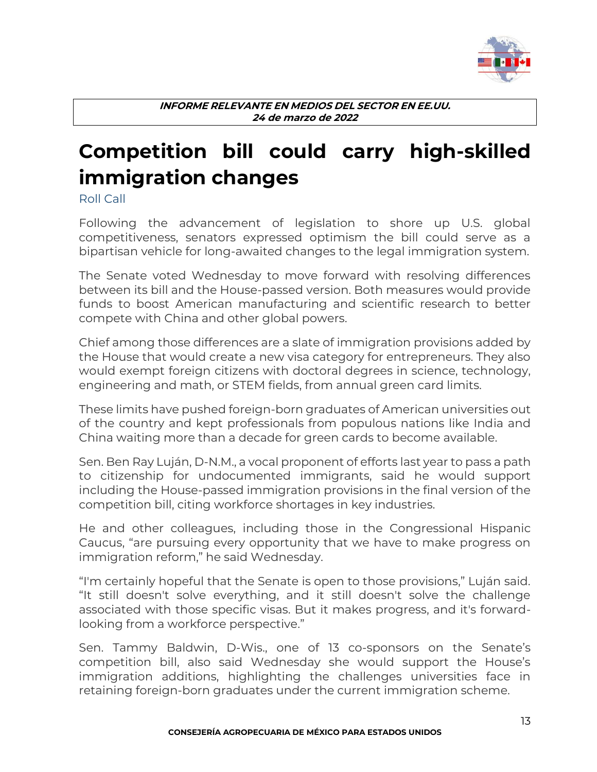

## <span id="page-12-0"></span>**Competition bill could carry high-skilled immigration changes**

<span id="page-12-1"></span>Roll Call

Following the advancement of legislation to shore up U.S. global competitiveness, senators expressed optimism the bill could serve as a bipartisan vehicle for long-awaited changes to the legal immigration system.

The Senate voted Wednesday to move forward with resolving differences between its bill and the House-passed version. Both measures would provide funds to boost American manufacturing and scientific research to better compete with China and other global powers.

Chief among those differences are a slate of immigration provisions added by the House that would create a new visa category for entrepreneurs. They also would exempt foreign citizens with doctoral degrees in science, technology, engineering and math, or STEM fields, from annual green card limits.

These limits have pushed foreign-born graduates of American universities out of the country and kept professionals from populous nations like India and China waiting more than a decade for green cards to become available.

Sen. [Ben Ray Luján,](https://www.rollcall.com/members/28688?utm_source=memberLinks&utm_medium=memberlinks&personid=28688) D-N.M., a vocal proponent of efforts last year to pass a path to citizenship for undocumented immigrants, said he would support including the House-passed immigration provisions in the final version of the competition bill, citing workforce shortages in key industries.

He and other colleagues, including those in the Congressional Hispanic Caucus, "are pursuing every opportunity that we have to make progress on immigration reform," he said Wednesday.

"I'm certainly hopeful that the Senate is open to those provisions," Luján said. "It still doesn't solve everything, and it still doesn't solve the challenge associated with those specific visas. But it makes progress, and it's forwardlooking from a workforce perspective."

Sen. [Tammy Baldwin,](https://www.rollcall.com/members/524?utm_source=memberLinks&utm_medium=memberlinks&personid=524) D-Wis., one of 13 co-sponsors on the Senate's competition bill, also said Wednesday she would support the House's immigration additions, highlighting the challenges universities face in retaining foreign-born graduates under the current immigration scheme.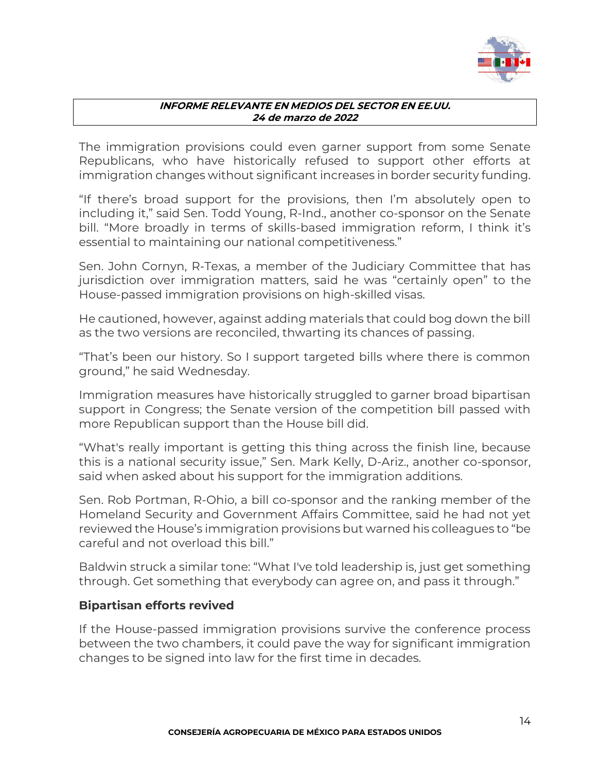

The immigration provisions could even garner support from some Senate Republicans, who have historically refused to support other efforts at immigration changes without significant increases in border security funding.

"If there's broad support for the provisions, then I'm absolutely open to including it," said Sen. [Todd Young,](https://www.rollcall.com/members/31070?utm_source=memberLinks&utm_medium=memberlinks&personid=31070) R-Ind., another co-sponsor on the Senate bill. "More broadly in terms of skills-based immigration reform, I think it's essential to maintaining our national competitiveness."

Sen. [John Cornyn,](https://www.rollcall.com/members/14833?utm_source=memberLinks&utm_medium=memberlinks&personid=14833) R-Texas, a member of the Judiciary Committee that has jurisdiction over immigration matters, said he was "certainly open" to the House-passed immigration provisions on high-skilled visas.

He cautioned, however, against adding materials that could bog down the bill as the two versions are reconciled, thwarting its chances of passing.

"That's been our history. So I support targeted bills where there is common ground," he said Wednesday.

Immigration measures have historically struggled to garner broad bipartisan support in Congress; the Senate version of the competition bill passed with more Republican support than the House bill did.

"What's really important is getting this thing across the finish line, because this is a national security issue," Sen. [Mark Kelly,](https://www.rollcall.com/members/141221?utm_source=memberLinks&utm_medium=memberlinks&personid=141221) D-Ariz., another co-sponsor, said when asked about his support for the immigration additions.

Sen. [Rob Portman,](https://www.rollcall.com/members/373?utm_source=memberLinks&utm_medium=memberlinks&personid=373) R-Ohio, a bill co-sponsor and the ranking member of the Homeland Security and Government Affairs Committee, said he had not yet reviewed the House's immigration provisions but warned his colleagues to "be careful and not overload this bill."

Baldwin struck a similar tone: "What I've told leadership is, just get something through. Get something that everybody can agree on, and pass it through."

### **Bipartisan efforts revived**

If the House-passed immigration provisions survive the conference process between the two chambers, it could pave the way for significant immigration changes to be signed into law for the first time in decades.